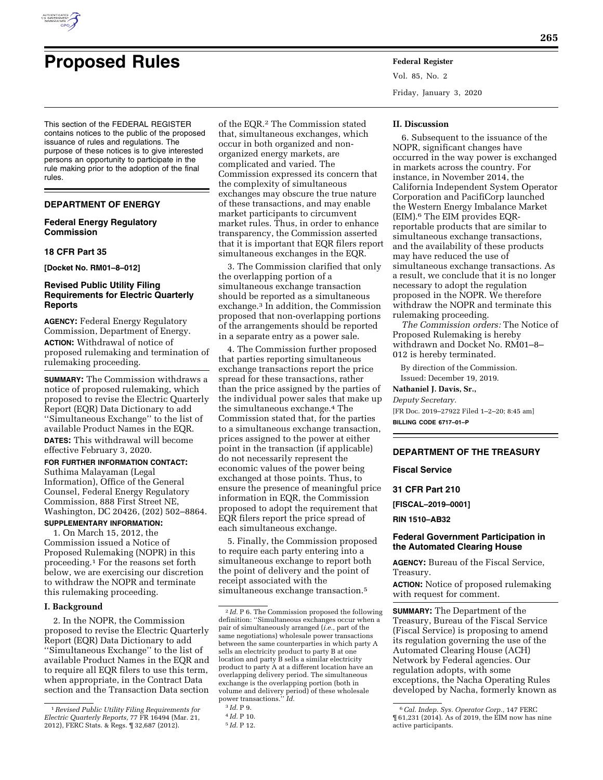

# **Proposed Rules Federal Register**

This section of the FEDERAL REGISTER contains notices to the public of the proposed issuance of rules and regulations. The purpose of these notices is to give interested persons an opportunity to participate in the rule making prior to the adoption of the final rules.

#### **DEPARTMENT OF ENERGY**

#### **Federal Energy Regulatory Commission**

#### **18 CFR Part 35**

**[Docket No. RM01–8–012]** 

## **Revised Public Utility Filing Requirements for Electric Quarterly Reports**

**AGENCY:** Federal Energy Regulatory Commission, Department of Energy. **ACTION:** Withdrawal of notice of proposed rulemaking and termination of rulemaking proceeding.

**SUMMARY:** The Commission withdraws a notice of proposed rulemaking, which proposed to revise the Electric Quarterly Report (EQR) Data Dictionary to add ''Simultaneous Exchange'' to the list of available Product Names in the EQR. **DATES:** This withdrawal will become effective February 3, 2020.

#### **FOR FURTHER INFORMATION CONTACT:**

Suthima Malayaman (Legal Information), Office of the General Counsel, Federal Energy Regulatory Commission, 888 First Street NE, Washington, DC 20426, (202) 502–8864.

# **SUPPLEMENTARY INFORMATION:**

1. On March 15, 2012, the Commission issued a Notice of Proposed Rulemaking (NOPR) in this proceeding.1 For the reasons set forth below, we are exercising our discretion to withdraw the NOPR and terminate this rulemaking proceeding.

#### **I. Background**

2. In the NOPR, the Commission proposed to revise the Electric Quarterly Report (EQR) Data Dictionary to add ''Simultaneous Exchange'' to the list of available Product Names in the EQR and to require all EQR filers to use this term, when appropriate, in the Contract Data section and the Transaction Data section

of the EQR.2 The Commission stated that, simultaneous exchanges, which occur in both organized and nonorganized energy markets, are complicated and varied. The Commission expressed its concern that the complexity of simultaneous exchanges may obscure the true nature of these transactions, and may enable market participants to circumvent market rules. Thus, in order to enhance transparency, the Commission asserted that it is important that EQR filers report simultaneous exchanges in the EQR.

3. The Commission clarified that only the overlapping portion of a simultaneous exchange transaction should be reported as a simultaneous exchange.3 In addition, the Commission proposed that non-overlapping portions of the arrangements should be reported in a separate entry as a power sale.

4. The Commission further proposed that parties reporting simultaneous exchange transactions report the price spread for these transactions, rather than the price assigned by the parties of the individual power sales that make up the simultaneous exchange.4 The Commission stated that, for the parties to a simultaneous exchange transaction, prices assigned to the power at either point in the transaction (if applicable) do not necessarily represent the economic values of the power being exchanged at those points. Thus, to ensure the presence of meaningful price information in EQR, the Commission proposed to adopt the requirement that EQR filers report the price spread of each simultaneous exchange.

5. Finally, the Commission proposed to require each party entering into a simultaneous exchange to report both the point of delivery and the point of receipt associated with the simultaneous exchange transaction.<sup>5</sup>

Vol. 85, No. 2 Friday, January 3, 2020

#### **II. Discussion**

6. Subsequent to the issuance of the NOPR, significant changes have occurred in the way power is exchanged in markets across the country. For instance, in November 2014, the California Independent System Operator Corporation and PacifiCorp launched the Western Energy Imbalance Market (EIM).6 The EIM provides EQRreportable products that are similar to simultaneous exchange transactions, and the availability of these products may have reduced the use of simultaneous exchange transactions. As a result, we conclude that it is no longer necessary to adopt the regulation proposed in the NOPR. We therefore withdraw the NOPR and terminate this rulemaking proceeding.

*The Commission orders:* The Notice of Proposed Rulemaking is hereby withdrawn and Docket No. RM01–8– 012 is hereby terminated.

By direction of the Commission. Issued: December 19, 2019.

#### **Nathaniel J. Davis, Sr.,**

*Deputy Secretary.*  [FR Doc. 2019–27922 Filed 1–2–20; 8:45 am] **BILLING CODE 6717–01–P** 

### **DEPARTMENT OF THE TREASURY**

## **Fiscal Service**

**31 CFR Part 210** 

**[FISCAL–2019–0001]** 

**RIN 1510–AB32** 

## **Federal Government Participation in the Automated Clearing House**

**AGENCY:** Bureau of the Fiscal Service, Treasury.

**ACTION:** Notice of proposed rulemaking with request for comment.

**SUMMARY:** The Department of the Treasury, Bureau of the Fiscal Service (Fiscal Service) is proposing to amend its regulation governing the use of the Automated Clearing House (ACH) Network by Federal agencies. Our regulation adopts, with some exceptions, the Nacha Operating Rules developed by Nacha, formerly known as

<sup>1</sup>*Revised Public Utility Filing Requirements for Electric Quarterly Reports,* 77 FR 16494 (Mar. 21, 2012), FERC Stats. & Regs. ¶ 32,687 (2012).

<sup>2</sup> *Id.* P 6. The Commission proposed the following definition: ''Simultaneous exchanges occur when a pair of simultaneously arranged (*i.e.,* part of the same negotiations) wholesale power transactions between the same counterparties in which party A sells an electricity product to party B at one location and party B sells a similar electricity product to party A at a different location have an overlapping delivery period. The simultaneous exchange is the overlapping portion (both in volume and delivery period) of these wholesale power transactions.'' *Id.* 

<sup>3</sup> *Id.* P 9.

<sup>4</sup> *Id.* P 10.

<sup>5</sup> *Id.* P 12.

<sup>6</sup>*Cal. Indep. Sys. Operator Corp.,* 147 FERC ¶ 61,231 (2014). As of 2019, the EIM now has nine active participants.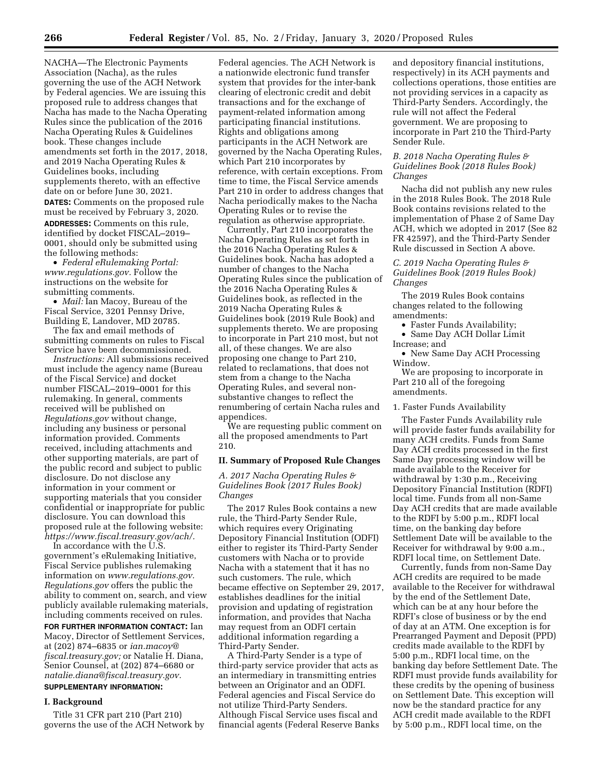NACHA—The Electronic Payments Association (Nacha), as the rules governing the use of the ACH Network by Federal agencies. We are issuing this proposed rule to address changes that Nacha has made to the Nacha Operating Rules since the publication of the 2016 Nacha Operating Rules & Guidelines book. These changes include amendments set forth in the 2017, 2018, and 2019 Nacha Operating Rules & Guidelines books, including supplements thereto, with an effective date on or before June 30, 2021. **DATES:** Comments on the proposed rule must be received by February 3, 2020. **ADDRESSES:** Comments on this rule, identified by docket FISCAL–2019– 0001, should only be submitted using the following methods:

• *Federal eRulemaking Portal: [www.regulations.gov.](http://www.regulations.gov)* Follow the instructions on the website for submitting comments.

• *Mail:* Ian Macoy, Bureau of the Fiscal Service, 3201 Pennsy Drive, Building E, Landover, MD 20785.

The fax and email methods of submitting comments on rules to Fiscal Service have been decommissioned.

*Instructions:* All submissions received must include the agency name (Bureau of the Fiscal Service) and docket number FISCAL–2019–0001 for this rulemaking. In general, comments received will be published on *Regulations.gov* without change, including any business or personal information provided. Comments received, including attachments and other supporting materials, are part of the public record and subject to public disclosure. Do not disclose any information in your comment or supporting materials that you consider confidential or inappropriate for public disclosure. You can download this proposed rule at the following website: *[https://www.fiscal.treasury.gov/ach/.](https://www.fiscal.treasury.gov/ach/)* 

In accordance with the U.S. government's eRulemaking Initiative, Fiscal Service publishes rulemaking information on *[www.regulations.gov.](http://www.regulations.gov)  Regulations.gov* offers the public the ability to comment on, search, and view publicly available rulemaking materials, including comments received on rules. **FOR FURTHER INFORMATION CONTACT:** Ian Macoy, Director of Settlement Services, at (202) 874–6835 or *[ian.macoy@](mailto:ian.macoy@fiscal.treasury.gov) [fiscal.treasury.gov;](mailto:ian.macoy@fiscal.treasury.gov)* or Natalie H. Diana, Senior Counsel, at (202) 874–6680 or *[natalie.diana@fiscal.treasury.gov.](mailto:natalie.diana@fiscal.treasury.gov)*  **SUPPLEMENTARY INFORMATION:** 

#### **I. Background**

Title 31 CFR part 210 (Part 210) governs the use of the ACH Network by

Federal agencies. The ACH Network is a nationwide electronic fund transfer system that provides for the inter-bank clearing of electronic credit and debit transactions and for the exchange of payment-related information among participating financial institutions. Rights and obligations among participants in the ACH Network are governed by the Nacha Operating Rules, which Part 210 incorporates by reference, with certain exceptions. From time to time, the Fiscal Service amends Part 210 in order to address changes that Nacha periodically makes to the Nacha Operating Rules or to revise the regulation as otherwise appropriate.

Currently, Part 210 incorporates the Nacha Operating Rules as set forth in the 2016 Nacha Operating Rules & Guidelines book. Nacha has adopted a number of changes to the Nacha Operating Rules since the publication of the 2016 Nacha Operating Rules & Guidelines book, as reflected in the 2019 Nacha Operating Rules & Guidelines book (2019 Rule Book) and supplements thereto. We are proposing to incorporate in Part 210 most, but not all, of these changes. We are also proposing one change to Part 210, related to reclamations, that does not stem from a change to the Nacha Operating Rules, and several nonsubstantive changes to reflect the renumbering of certain Nacha rules and appendices.

We are requesting public comment on all the proposed amendments to Part 210.

#### **II. Summary of Proposed Rule Changes**

*A. 2017 Nacha Operating Rules & Guidelines Book (2017 Rules Book) Changes* 

The 2017 Rules Book contains a new rule, the Third-Party Sender Rule, which requires every Originating Depository Financial Institution (ODFI) either to register its Third-Party Sender customers with Nacha or to provide Nacha with a statement that it has no such customers. The rule, which became effective on September 29, 2017, establishes deadlines for the initial provision and updating of registration information, and provides that Nacha may request from an ODFI certain additional information regarding a Third-Party Sender.

A Third-Party Sender is a type of third-party service provider that acts as an intermediary in transmitting entries between an Originator and an ODFI. Federal agencies and Fiscal Service do not utilize Third-Party Senders. Although Fiscal Service uses fiscal and financial agents (Federal Reserve Banks

and depository financial institutions, respectively) in its ACH payments and collections operations, those entities are not providing services in a capacity as Third-Party Senders. Accordingly, the rule will not affect the Federal government. We are proposing to incorporate in Part 210 the Third-Party Sender Rule.

## *B. 2018 Nacha Operating Rules & Guidelines Book (2018 Rules Book) Changes*

Nacha did not publish any new rules in the 2018 Rules Book. The 2018 Rule Book contains revisions related to the implementation of Phase 2 of Same Day ACH, which we adopted in 2017 (See 82 FR 42597), and the Third-Party Sender Rule discussed in Section A above.

*C. 2019 Nacha Operating Rules & Guidelines Book (2019 Rules Book) Changes* 

The 2019 Rules Book contains changes related to the following amendments:

• Faster Funds Availability;

• Same Day ACH Dollar Limit Increase; and

• New Same Day ACH Processing Window.

We are proposing to incorporate in Part 210 all of the foregoing amendments.

1. Faster Funds Availability

The Faster Funds Availability rule will provide faster funds availability for many ACH credits. Funds from Same Day ACH credits processed in the first Same Day processing window will be made available to the Receiver for withdrawal by 1:30 p.m., Receiving Depository Financial Institution (RDFI) local time. Funds from all non-Same Day ACH credits that are made available to the RDFI by 5:00 p.m., RDFI local time, on the banking day before Settlement Date will be available to the Receiver for withdrawal by 9:00 a.m., RDFI local time, on Settlement Date.

Currently, funds from non-Same Day ACH credits are required to be made available to the Receiver for withdrawal by the end of the Settlement Date, which can be at any hour before the RDFI's close of business or by the end of day at an ATM. One exception is for Prearranged Payment and Deposit (PPD) credits made available to the RDFI by 5:00 p.m., RDFI local time, on the banking day before Settlement Date. The RDFI must provide funds availability for these credits by the opening of business on Settlement Date. This exception will now be the standard practice for any ACH credit made available to the RDFI by 5:00 p.m., RDFI local time, on the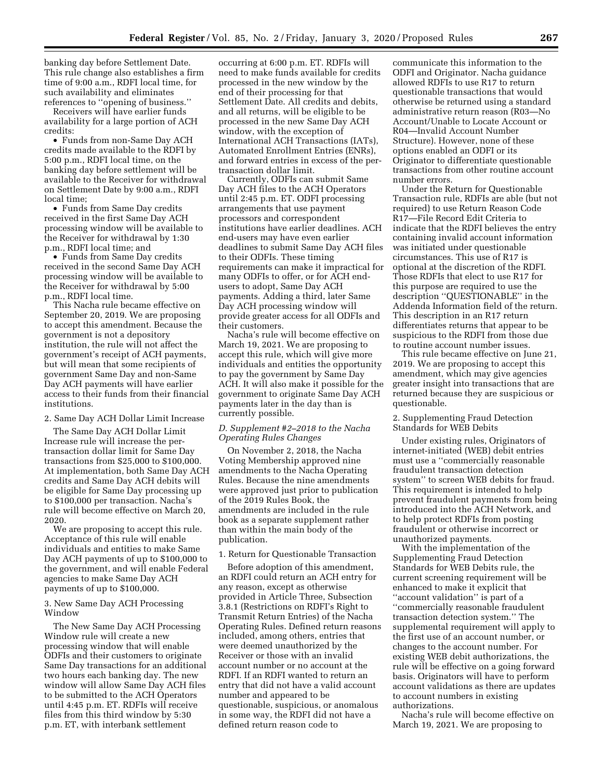banking day before Settlement Date. This rule change also establishes a firm time of 9:00 a.m., RDFI local time, for such availability and eliminates references to ''opening of business.''

Receivers will have earlier funds availability for a large portion of ACH credits:

• Funds from non-Same Day ACH credits made available to the RDFI by 5:00 p.m., RDFI local time, on the banking day before settlement will be available to the Receiver for withdrawal on Settlement Date by 9:00 a.m., RDFI local time;

• Funds from Same Day credits received in the first Same Day ACH processing window will be available to the Receiver for withdrawal by 1:30 p.m., RDFI local time; and

• Funds from Same Day credits received in the second Same Day ACH processing window will be available to the Receiver for withdrawal by 5:00 p.m., RDFI local time.

This Nacha rule became effective on September 20, 2019. We are proposing to accept this amendment. Because the government is not a depository institution, the rule will not affect the government's receipt of ACH payments, but will mean that some recipients of government Same Day and non-Same Day ACH payments will have earlier access to their funds from their financial institutions.

2. Same Day ACH Dollar Limit Increase

The Same Day ACH Dollar Limit Increase rule will increase the pertransaction dollar limit for Same Day transactions from \$25,000 to \$100,000. At implementation, both Same Day ACH credits and Same Day ACH debits will be eligible for Same Day processing up to \$100,000 per transaction. Nacha's rule will become effective on March 20, 2020.

We are proposing to accept this rule. Acceptance of this rule will enable individuals and entities to make Same Day ACH payments of up to \$100,000 to the government, and will enable Federal agencies to make Same Day ACH payments of up to \$100,000.

### 3. New Same Day ACH Processing Window

The New Same Day ACH Processing Window rule will create a new processing window that will enable ODFIs and their customers to originate Same Day transactions for an additional two hours each banking day. The new window will allow Same Day ACH files to be submitted to the ACH Operators until 4:45 p.m. ET. RDFIs will receive files from this third window by 5:30 p.m. ET, with interbank settlement

occurring at 6:00 p.m. ET. RDFIs will need to make funds available for credits processed in the new window by the end of their processing for that Settlement Date. All credits and debits, and all returns, will be eligible to be processed in the new Same Day ACH window, with the exception of International ACH Transactions (IATs), Automated Enrollment Entries (ENRs), and forward entries in excess of the pertransaction dollar limit.

Currently, ODFIs can submit Same Day ACH files to the ACH Operators until 2:45 p.m. ET. ODFI processing arrangements that use payment processors and correspondent institutions have earlier deadlines. ACH end-users may have even earlier deadlines to submit Same Day ACH files to their ODFIs. These timing requirements can make it impractical for many ODFIs to offer, or for ACH endusers to adopt, Same Day ACH payments. Adding a third, later Same Day ACH processing window will provide greater access for all ODFIs and their customers.

Nacha's rule will become effective on March 19, 2021. We are proposing to accept this rule, which will give more individuals and entities the opportunity to pay the government by Same Day ACH. It will also make it possible for the government to originate Same Day ACH payments later in the day than is currently possible.

*D. Supplement #2–2018 to the Nacha Operating Rules Changes* 

On November 2, 2018, the Nacha Voting Membership approved nine amendments to the Nacha Operating Rules. Because the nine amendments were approved just prior to publication of the 2019 Rules Book, the amendments are included in the rule book as a separate supplement rather than within the main body of the publication.

#### 1. Return for Questionable Transaction

Before adoption of this amendment, an RDFI could return an ACH entry for any reason, except as otherwise provided in Article Three, Subsection 3.8.1 (Restrictions on RDFI's Right to Transmit Return Entries) of the Nacha Operating Rules. Defined return reasons included, among others, entries that were deemed unauthorized by the Receiver or those with an invalid account number or no account at the RDFI. If an RDFI wanted to return an entry that did not have a valid account number and appeared to be questionable, suspicious, or anomalous in some way, the RDFI did not have a defined return reason code to

communicate this information to the ODFI and Originator. Nacha guidance allowed RDFIs to use R17 to return questionable transactions that would otherwise be returned using a standard administrative return reason (R03—No Account/Unable to Locate Account or R04—Invalid Account Number Structure). However, none of these options enabled an ODFI or its Originator to differentiate questionable transactions from other routine account number errors.

Under the Return for Questionable Transaction rule, RDFIs are able (but not required) to use Return Reason Code R17—File Record Edit Criteria to indicate that the RDFI believes the entry containing invalid account information was initiated under questionable circumstances. This use of R17 is optional at the discretion of the RDFI. Those RDFIs that elect to use R17 for this purpose are required to use the description ''QUESTIONABLE'' in the Addenda Information field of the return. This description in an R17 return differentiates returns that appear to be suspicious to the RDFI from those due to routine account number issues.

This rule became effective on June 21, 2019. We are proposing to accept this amendment, which may give agencies greater insight into transactions that are returned because they are suspicious or questionable.

2. Supplementing Fraud Detection Standards for WEB Debits

Under existing rules, Originators of internet-initiated (WEB) debit entries must use a ''commercially reasonable fraudulent transaction detection system'' to screen WEB debits for fraud. This requirement is intended to help prevent fraudulent payments from being introduced into the ACH Network, and to help protect RDFIs from posting fraudulent or otherwise incorrect or unauthorized payments.

With the implementation of the Supplementing Fraud Detection Standards for WEB Debits rule, the current screening requirement will be enhanced to make it explicit that ''account validation'' is part of a ''commercially reasonable fraudulent transaction detection system.'' The supplemental requirement will apply to the first use of an account number, or changes to the account number. For existing WEB debit authorizations, the rule will be effective on a going forward basis. Originators will have to perform account validations as there are updates to account numbers in existing authorizations.

Nacha's rule will become effective on March 19, 2021. We are proposing to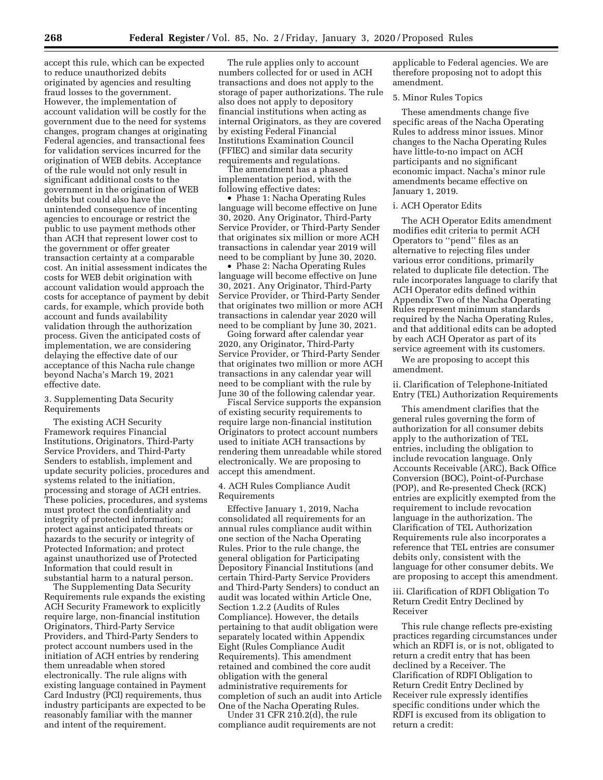accept this rule, which can be expected to reduce unauthorized debits originated by agencies and resulting fraud losses to the government. However, the implementation of account validation will be costly for the government due to the need for systems changes, program changes at originating Federal agencies, and transactional fees for validation services incurred for the origination of WEB debits. Acceptance of the rule would not only result in significant additional costs to the government in the origination of WEB debits but could also have the unintended consequence of incenting agencies to encourage or restrict the public to use payment methods other than ACH that represent lower cost to the government or offer greater transaction certainty at a comparable cost. An initial assessment indicates the costs for WEB debit origination with account validation would approach the costs for acceptance of payment by debit cards, for example, which provide both account and funds availability validation through the authorization process. Given the anticipated costs of implementation, we are considering delaying the effective date of our acceptance of this Nacha rule change beyond Nacha's March 19, 2021 effective date.

## 3. Supplementing Data Security Requirements

The existing ACH Security Framework requires Financial Institutions, Originators, Third-Party Service Providers, and Third-Party Senders to establish, implement and update security policies, procedures and systems related to the initiation, processing and storage of ACH entries. These policies, procedures, and systems must protect the confidentiality and integrity of protected information; protect against anticipated threats or hazards to the security or integrity of Protected Information; and protect against unauthorized use of Protected Information that could result in substantial harm to a natural person.

The Supplementing Data Security Requirements rule expands the existing ACH Security Framework to explicitly require large, non-financial institution Originators, Third-Party Service Providers, and Third-Party Senders to protect account numbers used in the initiation of ACH entries by rendering them unreadable when stored electronically. The rule aligns with existing language contained in Payment Card Industry (PCI) requirements, thus industry participants are expected to be reasonably familiar with the manner and intent of the requirement.

The rule applies only to account numbers collected for or used in ACH transactions and does not apply to the storage of paper authorizations. The rule also does not apply to depository financial institutions when acting as internal Originators, as they are covered by existing Federal Financial Institutions Examination Council (FFIEC) and similar data security requirements and regulations.

The amendment has a phased implementation period, with the following effective dates:

• Phase 1: Nacha Operating Rules language will become effective on June 30, 2020. Any Originator, Third-Party Service Provider, or Third-Party Sender that originates six million or more ACH transactions in calendar year 2019 will need to be compliant by June 30, 2020.

• Phase 2: Nacha Operating Rules language will become effective on June 30, 2021. Any Originator, Third-Party Service Provider, or Third-Party Sender that originates two million or more ACH transactions in calendar year 2020 will need to be compliant by June 30, 2021.

Going forward after calendar year 2020, any Originator, Third-Party Service Provider, or Third-Party Sender that originates two million or more ACH transactions in any calendar year will need to be compliant with the rule by June 30 of the following calendar year.

Fiscal Service supports the expansion of existing security requirements to require large non-financial institution Originators to protect account numbers used to initiate ACH transactions by rendering them unreadable while stored electronically. We are proposing to accept this amendment.

## 4. ACH Rules Compliance Audit Requirements

Effective January 1, 2019, Nacha consolidated all requirements for an annual rules compliance audit within one section of the Nacha Operating Rules. Prior to the rule change, the general obligation for Participating Depository Financial Institutions (and certain Third-Party Service Providers and Third-Party Senders) to conduct an audit was located within Article One, Section 1.2.2 (Audits of Rules Compliance). However, the details pertaining to that audit obligation were separately located within Appendix Eight (Rules Compliance Audit Requirements). This amendment retained and combined the core audit obligation with the general administrative requirements for completion of such an audit into Article One of the Nacha Operating Rules.

Under 31 CFR 210.2(d), the rule compliance audit requirements are not applicable to Federal agencies. We are therefore proposing not to adopt this amendment.

#### 5. Minor Rules Topics

These amendments change five specific areas of the Nacha Operating Rules to address minor issues. Minor changes to the Nacha Operating Rules have little-to-no impact on ACH participants and no significant economic impact. Nacha's minor rule amendments became effective on January 1, 2019.

## i. ACH Operator Edits

The ACH Operator Edits amendment modifies edit criteria to permit ACH Operators to ''pend'' files as an alternative to rejecting files under various error conditions, primarily related to duplicate file detection. The rule incorporates language to clarify that ACH Operator edits defined within Appendix Two of the Nacha Operating Rules represent minimum standards required by the Nacha Operating Rules, and that additional edits can be adopted by each ACH Operator as part of its service agreement with its customers.

We are proposing to accept this amendment.

ii. Clarification of Telephone-Initiated Entry (TEL) Authorization Requirements

This amendment clarifies that the general rules governing the form of authorization for all consumer debits apply to the authorization of TEL entries, including the obligation to include revocation language. Only Accounts Receivable (ARC), Back Office Conversion (BOC), Point-of-Purchase (POP), and Re-presented Check (RCK) entries are explicitly exempted from the requirement to include revocation language in the authorization. The Clarification of TEL Authorization Requirements rule also incorporates a reference that TEL entries are consumer debits only, consistent with the language for other consumer debits. We are proposing to accept this amendment.

iii. Clarification of RDFI Obligation To Return Credit Entry Declined by Receiver

This rule change reflects pre-existing practices regarding circumstances under which an RDFI is, or is not, obligated to return a credit entry that has been declined by a Receiver. The Clarification of RDFI Obligation to Return Credit Entry Declined by Receiver rule expressly identifies specific conditions under which the RDFI is excused from its obligation to return a credit: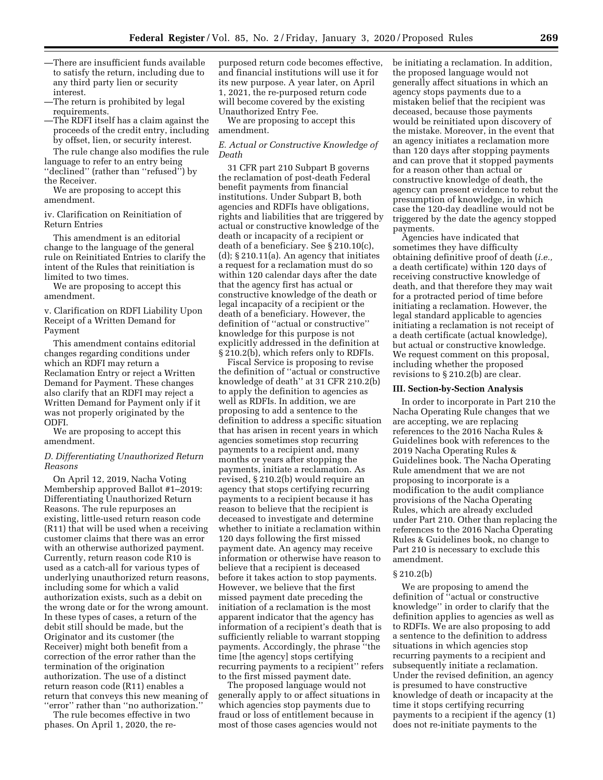- —There are insufficient funds available to satisfy the return, including due to any third party lien or security interest.
- —The return is prohibited by legal requirements.
- —The RDFI itself has a claim against the proceeds of the credit entry, including by offset, lien, or security interest.

The rule change also modifies the rule language to refer to an entry being ''declined'' (rather than ''refused'') by the Receiver.

We are proposing to accept this amendment.

#### iv. Clarification on Reinitiation of Return Entries

This amendment is an editorial change to the language of the general rule on Reinitiated Entries to clarify the intent of the Rules that reinitiation is limited to two times.

We are proposing to accept this amendment.

v. Clarification on RDFI Liability Upon Receipt of a Written Demand for Payment

This amendment contains editorial changes regarding conditions under which an RDFI may return a Reclamation Entry or reject a Written Demand for Payment. These changes also clarify that an RDFI may reject a Written Demand for Payment only if it was not properly originated by the ODFI.

We are proposing to accept this amendment.

#### *D. Differentiating Unauthorized Return Reasons*

On April 12, 2019, Nacha Voting Membership approved Ballot #1–2019: Differentiating Unauthorized Return Reasons. The rule repurposes an existing, little-used return reason code (R11) that will be used when a receiving customer claims that there was an error with an otherwise authorized payment. Currently, return reason code R10 is used as a catch-all for various types of underlying unauthorized return reasons, including some for which a valid authorization exists, such as a debit on the wrong date or for the wrong amount. In these types of cases, a return of the debit still should be made, but the Originator and its customer (the Receiver) might both benefit from a correction of the error rather than the termination of the origination authorization. The use of a distinct return reason code (R11) enables a return that conveys this new meaning of ''error'' rather than ''no authorization.''

The rule becomes effective in two phases. On April 1, 2020, the repurposed return code becomes effective, and financial institutions will use it for its new purpose. A year later, on April 1, 2021, the re-purposed return code will become covered by the existing Unauthorized Entry Fee.

We are proposing to accept this amendment.

*E. Actual or Constructive Knowledge of Death* 

31 CFR part 210 Subpart B governs the reclamation of post-death Federal benefit payments from financial institutions. Under Subpart B, both agencies and RDFIs have obligations, rights and liabilities that are triggered by actual or constructive knowledge of the death or incapacity of a recipient or death of a beneficiary. See § 210.10(c), (d); § 210.11(a). An agency that initiates a request for a reclamation must do so within 120 calendar days after the date that the agency first has actual or constructive knowledge of the death or legal incapacity of a recipient or the death of a beneficiary. However, the definition of ''actual or constructive'' knowledge for this purpose is not explicitly addressed in the definition at § 210.2(b), which refers only to RDFIs.

Fiscal Service is proposing to revise the definition of ''actual or constructive knowledge of death'' at 31 CFR 210.2(b) to apply the definition to agencies as well as RDFIs. In addition, we are proposing to add a sentence to the definition to address a specific situation that has arisen in recent years in which agencies sometimes stop recurring payments to a recipient and, many months or years after stopping the payments, initiate a reclamation. As revised, § 210.2(b) would require an agency that stops certifying recurring payments to a recipient because it has reason to believe that the recipient is deceased to investigate and determine whether to initiate a reclamation within 120 days following the first missed payment date. An agency may receive information or otherwise have reason to believe that a recipient is deceased before it takes action to stop payments. However, we believe that the first missed payment date preceding the initiation of a reclamation is the most apparent indicator that the agency has information of a recipient's death that is sufficiently reliable to warrant stopping payments. Accordingly, the phrase ''the time [the agency] stops certifying recurring payments to a recipient'' refers to the first missed payment date.

The proposed language would not generally apply to or affect situations in which agencies stop payments due to fraud or loss of entitlement because in most of those cases agencies would not

be initiating a reclamation. In addition, the proposed language would not generally affect situations in which an agency stops payments due to a mistaken belief that the recipient was deceased, because those payments would be reinitiated upon discovery of the mistake. Moreover, in the event that an agency initiates a reclamation more than 120 days after stopping payments and can prove that it stopped payments for a reason other than actual or constructive knowledge of death, the agency can present evidence to rebut the presumption of knowledge, in which case the 120-day deadline would not be triggered by the date the agency stopped payments.

Agencies have indicated that sometimes they have difficulty obtaining definitive proof of death (*i.e.,*  a death certificate) within 120 days of receiving constructive knowledge of death, and that therefore they may wait for a protracted period of time before initiating a reclamation. However, the legal standard applicable to agencies initiating a reclamation is not receipt of a death certificate (actual knowledge), but actual or constructive knowledge. We request comment on this proposal, including whether the proposed revisions to § 210.2(b) are clear.

### **III. Section-by-Section Analysis**

In order to incorporate in Part 210 the Nacha Operating Rule changes that we are accepting, we are replacing references to the 2016 Nacha Rules & Guidelines book with references to the 2019 Nacha Operating Rules & Guidelines book. The Nacha Operating Rule amendment that we are not proposing to incorporate is a modification to the audit compliance provisions of the Nacha Operating Rules, which are already excluded under Part 210. Other than replacing the references to the 2016 Nacha Operating Rules & Guidelines book, no change to Part 210 is necessary to exclude this amendment.

#### § 210.2(b)

We are proposing to amend the definition of ''actual or constructive knowledge'' in order to clarify that the definition applies to agencies as well as to RDFIs. We are also proposing to add a sentence to the definition to address situations in which agencies stop recurring payments to a recipient and subsequently initiate a reclamation. Under the revised definition, an agency is presumed to have constructive knowledge of death or incapacity at the time it stops certifying recurring payments to a recipient if the agency (1) does not re-initiate payments to the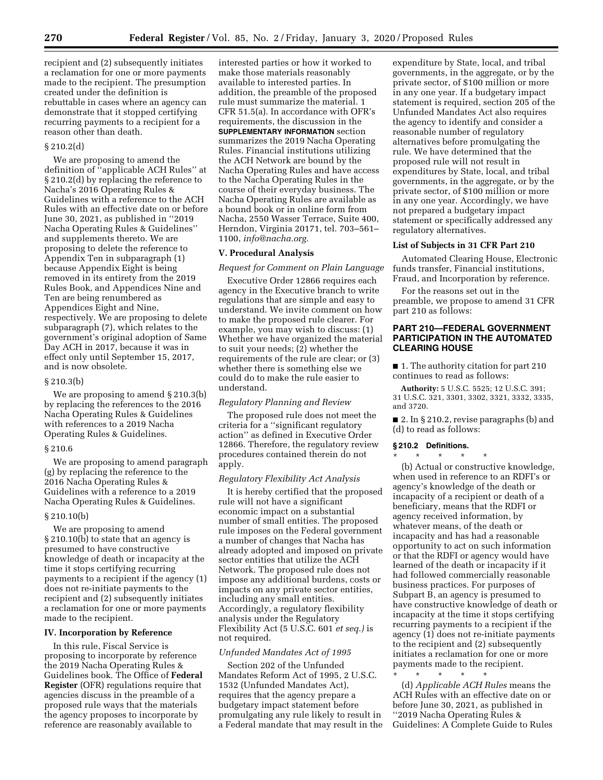recipient and (2) subsequently initiates a reclamation for one or more payments made to the recipient. The presumption created under the definition is rebuttable in cases where an agency can demonstrate that it stopped certifying recurring payments to a recipient for a reason other than death.

## § 210.2(d)

We are proposing to amend the definition of ''applicable ACH Rules'' at § 210.2(d) by replacing the reference to Nacha's 2016 Operating Rules & Guidelines with a reference to the ACH Rules with an effective date on or before June 30, 2021, as published in ''2019 Nacha Operating Rules & Guidelines'' and supplements thereto. We are proposing to delete the reference to Appendix Ten in subparagraph (1) because Appendix Eight is being removed in its entirety from the 2019 Rules Book, and Appendices Nine and Ten are being renumbered as Appendices Eight and Nine, respectively. We are proposing to delete subparagraph (7), which relates to the government's original adoption of Same Day ACH in 2017, because it was in effect only until September 15, 2017, and is now obsolete.

#### § 210.3(b)

We are proposing to amend § 210.3(b) by replacing the references to the 2016 Nacha Operating Rules & Guidelines with references to a 2019 Nacha Operating Rules & Guidelines.

#### § 210.6

We are proposing to amend paragraph (g) by replacing the reference to the 2016 Nacha Operating Rules & Guidelines with a reference to a 2019 Nacha Operating Rules & Guidelines.

#### § 210.10(b)

We are proposing to amend § 210.10(b) to state that an agency is presumed to have constructive knowledge of death or incapacity at the time it stops certifying recurring payments to a recipient if the agency (1) does not re-initiate payments to the recipient and (2) subsequently initiates a reclamation for one or more payments made to the recipient.

### **IV. Incorporation by Reference**

In this rule, Fiscal Service is proposing to incorporate by reference the 2019 Nacha Operating Rules & Guidelines book. The Office of **Federal Register** (OFR) regulations require that agencies discuss in the preamble of a proposed rule ways that the materials the agency proposes to incorporate by reference are reasonably available to

interested parties or how it worked to make those materials reasonably available to interested parties. In addition, the preamble of the proposed rule must summarize the material. 1 CFR 51.5(a). In accordance with OFR's requirements, the discussion in the **SUPPLEMENTARY INFORMATION** section summarizes the 2019 Nacha Operating Rules. Financial institutions utilizing the ACH Network are bound by the Nacha Operating Rules and have access to the Nacha Operating Rules in the course of their everyday business. The Nacha Operating Rules are available as a bound book or in online form from Nacha, 2550 Wasser Terrace, Suite 400, Herndon, Virginia 20171, tel. 703–561– 1100, *[info@nacha.org.](mailto:info@nacha.org)* 

#### **V. Procedural Analysis**

### *Request for Comment on Plain Language*

Executive Order 12866 requires each agency in the Executive branch to write regulations that are simple and easy to understand. We invite comment on how to make the proposed rule clearer. For example, you may wish to discuss: (1) Whether we have organized the material to suit your needs; (2) whether the requirements of the rule are clear; or (3) whether there is something else we could do to make the rule easier to understand.

#### *Regulatory Planning and Review*

The proposed rule does not meet the criteria for a ''significant regulatory action'' as defined in Executive Order 12866. Therefore, the regulatory review procedures contained therein do not apply.

#### *Regulatory Flexibility Act Analysis*

It is hereby certified that the proposed rule will not have a significant economic impact on a substantial number of small entities. The proposed rule imposes on the Federal government a number of changes that Nacha has already adopted and imposed on private sector entities that utilize the ACH Network. The proposed rule does not impose any additional burdens, costs or impacts on any private sector entities, including any small entities. Accordingly, a regulatory flexibility analysis under the Regulatory Flexibility Act (5 U.S.C. 601 *et seq.)* is not required.

#### *Unfunded Mandates Act of 1995*

Section 202 of the Unfunded Mandates Reform Act of 1995, 2 U.S.C. 1532 (Unfunded Mandates Act), requires that the agency prepare a budgetary impact statement before promulgating any rule likely to result in a Federal mandate that may result in the

expenditure by State, local, and tribal governments, in the aggregate, or by the private sector, of \$100 million or more in any one year. If a budgetary impact statement is required, section 205 of the Unfunded Mandates Act also requires the agency to identify and consider a reasonable number of regulatory alternatives before promulgating the rule. We have determined that the proposed rule will not result in expenditures by State, local, and tribal governments, in the aggregate, or by the private sector, of \$100 million or more in any one year. Accordingly, we have not prepared a budgetary impact statement or specifically addressed any regulatory alternatives.

# **List of Subjects in 31 CFR Part 210**

Automated Clearing House, Electronic funds transfer, Financial institutions, Fraud, and Incorporation by reference.

For the reasons set out in the preamble, we propose to amend 31 CFR part 210 as follows:

## **PART 210—FEDERAL GOVERNMENT PARTICIPATION IN THE AUTOMATED CLEARING HOUSE**

■ 1. The authority citation for part 210 continues to read as follows:

**Authority:** 5 U.S.C. 5525; 12 U.S.C. 391; 31 U.S.C. 321, 3301, 3302, 3321, 3332, 3335, and 3720.

■ 2. In § 210.2, revise paragraphs (b) and (d) to read as follows:

## **§ 210.2 Definitions.**

\* \* \* \* \* (b) Actual or constructive knowledge, when used in reference to an RDFI's or agency's knowledge of the death or incapacity of a recipient or death of a beneficiary, means that the RDFI or agency received information, by whatever means, of the death or incapacity and has had a reasonable opportunity to act on such information or that the RDFI or agency would have learned of the death or incapacity if it had followed commercially reasonable business practices. For purposes of Subpart B, an agency is presumed to have constructive knowledge of death or incapacity at the time it stops certifying recurring payments to a recipient if the agency (1) does not re-initiate payments to the recipient and (2) subsequently initiates a reclamation for one or more payments made to the recipient.

\* \* \* \* \* (d) *Applicable ACH Rules* means the ACH Rules with an effective date on or before June 30, 2021, as published in ''2019 Nacha Operating Rules & Guidelines: A Complete Guide to Rules